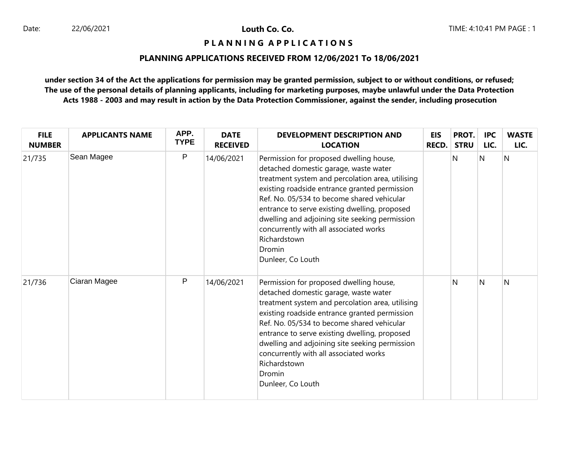## **P L A N N I N G A P P L I C A T I O N S**

## **PLANNING APPLICATIONS RECEIVED FROM 12/06/2021 To 18/06/2021**

| <b>FILE</b><br><b>NUMBER</b> | <b>APPLICANTS NAME</b> | APP.<br><b>TYPE</b> | <b>DATE</b><br><b>RECEIVED</b> | DEVELOPMENT DESCRIPTION AND<br><b>LOCATION</b>                                                                                                                                                                                                                                                                                                                                                                                  | EIS<br><b>RECD.</b> | PROT.<br><b>STRU</b> | <b>IPC</b><br>LIC. | <b>WASTE</b><br>LIC. |
|------------------------------|------------------------|---------------------|--------------------------------|---------------------------------------------------------------------------------------------------------------------------------------------------------------------------------------------------------------------------------------------------------------------------------------------------------------------------------------------------------------------------------------------------------------------------------|---------------------|----------------------|--------------------|----------------------|
| 21/735                       | Sean Magee             | P                   | 14/06/2021                     | Permission for proposed dwelling house,<br>detached domestic garage, waste water<br>treatment system and percolation area, utilising<br>existing roadside entrance granted permission<br>Ref. No. 05/534 to become shared vehicular<br>entrance to serve existing dwelling, proposed<br>dwelling and adjoining site seeking permission<br>concurrently with all associated works<br>Richardstown<br>Dromin<br>Dunleer, Co Louth |                     | N                    | N                  | N                    |
| 21/736                       | Ciaran Magee           | P                   | 14/06/2021                     | Permission for proposed dwelling house,<br>detached domestic garage, waste water<br>treatment system and percolation area, utilising<br>existing roadside entrance granted permission<br>Ref. No. 05/534 to become shared vehicular<br>entrance to serve existing dwelling, proposed<br>dwelling and adjoining site seeking permission<br>concurrently with all associated works<br>Richardstown<br>Dromin<br>Dunleer, Co Louth |                     | N                    | N                  | N                    |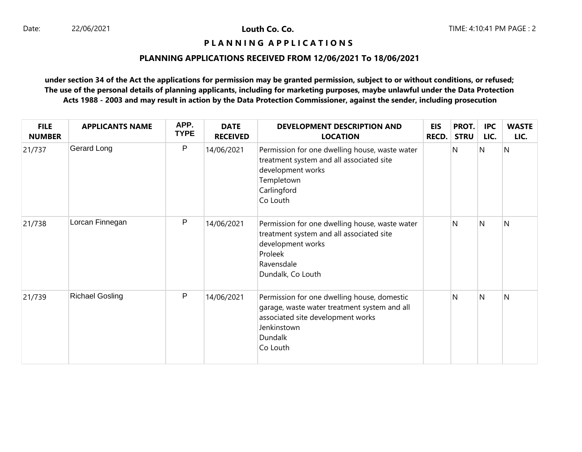## **PLANNING APPLICATIONS RECEIVED FROM 12/06/2021 To 18/06/2021**

| <b>FILE</b><br><b>NUMBER</b> | <b>APPLICANTS NAME</b> | APP.<br><b>TYPE</b> | <b>DATE</b><br><b>RECEIVED</b> | DEVELOPMENT DESCRIPTION AND<br><b>LOCATION</b>                                                                                                                         | <b>EIS</b><br><b>RECD.</b> | PROT.<br><b>STRU</b> | <b>IPC</b><br>LIC. | <b>WASTE</b><br>LIC. |
|------------------------------|------------------------|---------------------|--------------------------------|------------------------------------------------------------------------------------------------------------------------------------------------------------------------|----------------------------|----------------------|--------------------|----------------------|
| 21/737                       | Gerard Long            | P                   | 14/06/2021                     | Permission for one dwelling house, waste water<br>treatment system and all associated site<br>development works<br>Templetown<br>Carlingford<br>Co Louth               |                            | N                    | N                  | $\overline{N}$       |
| 21/738                       | Lorcan Finnegan        | P                   | 14/06/2021                     | Permission for one dwelling house, waste water<br>treatment system and all associated site<br>development works<br>Proleek<br>Ravensdale<br>Dundalk, Co Louth          |                            | N                    | N                  | N                    |
| 21/739                       | <b>Richael Gosling</b> | P                   | 14/06/2021                     | Permission for one dwelling house, domestic<br>garage, waste water treatment system and all<br>associated site development works<br>Jenkinstown<br>Dundalk<br>Co Louth |                            | N                    | N                  | N                    |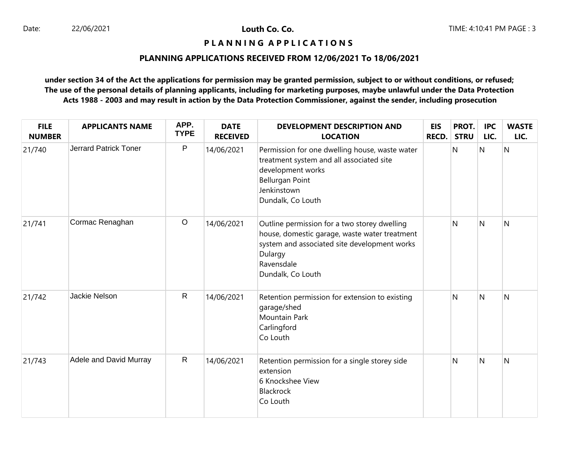## **PLANNING APPLICATIONS RECEIVED FROM 12/06/2021 To 18/06/2021**

| <b>FILE</b><br><b>NUMBER</b> | <b>APPLICANTS NAME</b>       | APP.<br><b>TYPE</b> | <b>DATE</b><br><b>RECEIVED</b> | <b>DEVELOPMENT DESCRIPTION AND</b><br><b>LOCATION</b>                                                                                                                                       | <b>EIS</b><br>RECD. | PROT.<br><b>STRU</b> | <b>IPC</b><br>LIC.      | <b>WASTE</b><br>LIC. |
|------------------------------|------------------------------|---------------------|--------------------------------|---------------------------------------------------------------------------------------------------------------------------------------------------------------------------------------------|---------------------|----------------------|-------------------------|----------------------|
| 21/740                       | <b>Jerrard Patrick Toner</b> | P                   | 14/06/2021                     | Permission for one dwelling house, waste water<br>treatment system and all associated site<br>development works<br><b>Bellurgan Point</b><br>Jenkinstown<br>Dundalk, Co Louth               |                     | N                    | N                       | $\overline{N}$       |
| 21/741                       | Cormac Renaghan              | $\circ$             | 14/06/2021                     | Outline permission for a two storey dwelling<br>house, domestic garage, waste water treatment<br>system and associated site development works<br>Dulargy<br>Ravensdale<br>Dundalk, Co Louth |                     | N                    | $\overline{\mathsf{N}}$ | N                    |
| 21/742                       | Jackie Nelson                | $\mathsf{R}$        | 14/06/2021                     | Retention permission for extension to existing<br>garage/shed<br><b>Mountain Park</b><br>Carlingford<br>Co Louth                                                                            |                     | N                    | N                       | N                    |
| 21/743                       | Adele and David Murray       | $\mathsf{R}$        | 14/06/2021                     | Retention permission for a single storey side<br>extension<br>6 Knockshee View<br>Blackrock<br>Co Louth                                                                                     |                     | N                    | N                       | N                    |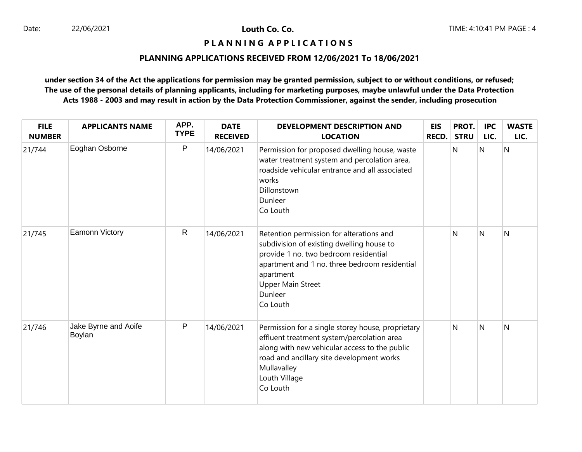## **PLANNING APPLICATIONS RECEIVED FROM 12/06/2021 To 18/06/2021**

| <b>FILE</b><br><b>NUMBER</b> | <b>APPLICANTS NAME</b>         | APP.<br><b>TYPE</b> | <b>DATE</b><br><b>RECEIVED</b> | <b>DEVELOPMENT DESCRIPTION AND</b><br><b>LOCATION</b>                                                                                                                                                                                           | <b>EIS</b><br><b>RECD.</b> | PROT.<br><b>STRU</b> | <b>IPC</b><br>LIC. | <b>WASTE</b><br>LIC. |
|------------------------------|--------------------------------|---------------------|--------------------------------|-------------------------------------------------------------------------------------------------------------------------------------------------------------------------------------------------------------------------------------------------|----------------------------|----------------------|--------------------|----------------------|
| 21/744                       | Eoghan Osborne                 | P                   | 14/06/2021                     | Permission for proposed dwelling house, waste<br>water treatment system and percolation area,<br>roadside vehicular entrance and all associated<br>works<br>Dillonstown<br>Dunleer<br>Co Louth                                                  |                            | N                    | N                  | N                    |
| 21/745                       | <b>Eamonn Victory</b>          | $\mathsf{R}$        | 14/06/2021                     | Retention permission for alterations and<br>subdivision of existing dwelling house to<br>provide 1 no. two bedroom residential<br>apartment and 1 no. three bedroom residential<br>apartment<br><b>Upper Main Street</b><br>Dunleer<br>Co Louth |                            | N                    | N                  | N                    |
| 21/746                       | Jake Byrne and Aoife<br>Boylan | P                   | 14/06/2021                     | Permission for a single storey house, proprietary<br>effluent treatment system/percolation area<br>along with new vehicular access to the public<br>road and ancillary site development works<br>Mullavalley<br>Louth Village<br>Co Louth       |                            | N                    | <sup>N</sup>       | N                    |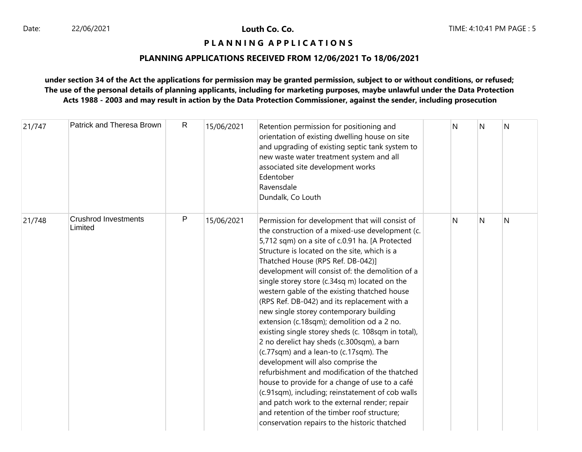## **P L A N N I N G A P P L I C A T I O N S**

## **PLANNING APPLICATIONS RECEIVED FROM 12/06/2021 To 18/06/2021**

| 21/747 | Patrick and Theresa Brown              | $\mathsf{R}$ | 15/06/2021 | Retention permission for positioning and<br>orientation of existing dwelling house on site<br>and upgrading of existing septic tank system to<br>new waste water treatment system and all<br>associated site development works<br>Edentober<br>Ravensdale<br>Dundalk, Co Louth                                                                                                                                                                                                                                                                                                                                                                                                                                                                                                                                                                                                                                                                                                                                                        | N | N | N |
|--------|----------------------------------------|--------------|------------|---------------------------------------------------------------------------------------------------------------------------------------------------------------------------------------------------------------------------------------------------------------------------------------------------------------------------------------------------------------------------------------------------------------------------------------------------------------------------------------------------------------------------------------------------------------------------------------------------------------------------------------------------------------------------------------------------------------------------------------------------------------------------------------------------------------------------------------------------------------------------------------------------------------------------------------------------------------------------------------------------------------------------------------|---|---|---|
| 21/748 | <b>Crushrod Investments</b><br>Limited | P            | 15/06/2021 | Permission for development that will consist of<br>the construction of a mixed-use development (c.<br>5,712 sqm) on a site of c.0.91 ha. [A Protected<br>Structure is located on the site, which is a<br>Thatched House (RPS Ref. DB-042)]<br>development will consist of: the demolition of a<br>single storey store (c.34sq m) located on the<br>western gable of the existing thatched house<br>(RPS Ref. DB-042) and its replacement with a<br>new single storey contemporary building<br>extension (c.18sqm); demolition od a 2 no.<br>existing single storey sheds (c. 108sqm in total),<br>2 no derelict hay sheds (c.300sqm), a barn<br>(c.77sqm) and a lean-to (c.17sqm). The<br>development will also comprise the<br>refurbishment and modification of the thatched<br>house to provide for a change of use to a café<br>(c.91sqm), including; reinstatement of cob walls<br>and patch work to the external render; repair<br>and retention of the timber roof structure;<br>conservation repairs to the historic thatched | N | N | N |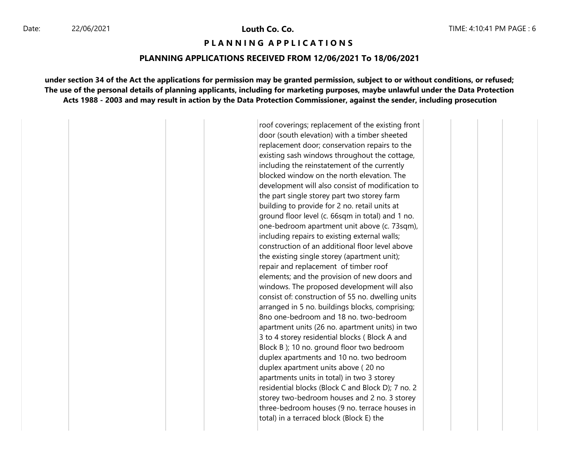22/06/2021 **Louth Co. Co.**

## **P L A N N I N G A P P L I C A T I O N S**

#### **PLANNING APPLICATIONS RECEIVED FROM 12/06/2021 To 18/06/2021**

**under section 34 of the Act the applications for permission may be granted permission, subject to or without conditions, or refused; The use of the personal details of planning applicants, including for marketing purposes, maybe unlawful under the Data Protection Acts 1988 - 2003 and may result in action by the Data Protection Commissioner, against the sender, including prosecution**

> roof coverings; replacement of the existing front door (south elevation) with a timber sheeted replacement door; conservation repairs to the existing sash windows throughout the cottage, including the reinstatement of the currently blocked window on the north elevation. The development will also consist of modification to the part single storey part two storey farm building to provide for 2 no. retail units at ground floor level (c. 66sqm in total) and 1 no. one-bedroom apartment unit above (c. 73sqm), including repairs to existing external walls; construction of an additional floor level above the existing single storey (apartment unit); repair and replacement of timber roof elements; and the provision of new doors and windows. The proposed development will also consist of: construction of 55 no. dwelling units arranged in 5 no. buildings blocks, comprising; 8no one-bedroom and 18 no. two-bedroom apartment units (26 no. apartment units) in two 3 to 4 storey residential blocks ( Block A and Block B ); 10 no. ground floor two bedroom duplex apartments and 10 no. two bedroom duplex apartment units above ( 20 no apartments units in total) in two 3 storey residential blocks (Block C and Block D); 7 no. 2 storey two-bedroom houses and 2 no. 3 storey three-bedroom houses (9 no. terrace houses in total) in a terraced block (Block E) the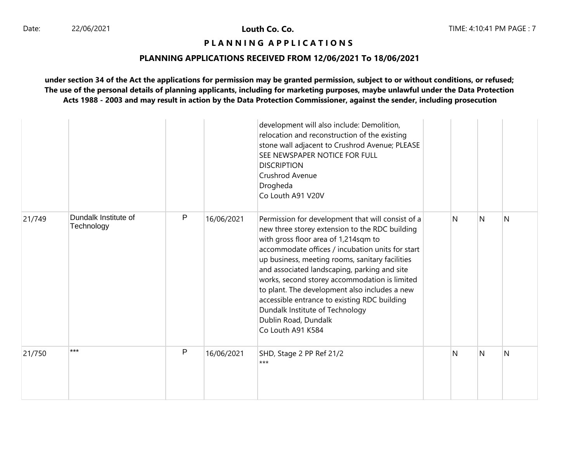## **P L A N N I N G A P P L I C A T I O N S**

#### **PLANNING APPLICATIONS RECEIVED FROM 12/06/2021 To 18/06/2021**

|        |                                    |              |            | development will also include: Demolition,<br>relocation and reconstruction of the existing<br>stone wall adjacent to Crushrod Avenue; PLEASE<br>SEE NEWSPAPER NOTICE FOR FULL<br><b>DISCRIPTION</b><br>Crushrod Avenue<br>Drogheda<br>Co Louth A91 V20V                                                                                                                                                                                                                                                                             |    |   |   |
|--------|------------------------------------|--------------|------------|--------------------------------------------------------------------------------------------------------------------------------------------------------------------------------------------------------------------------------------------------------------------------------------------------------------------------------------------------------------------------------------------------------------------------------------------------------------------------------------------------------------------------------------|----|---|---|
| 21/749 | Dundalk Institute of<br>Technology | $\mathsf{P}$ | 16/06/2021 | Permission for development that will consist of a<br>new three storey extension to the RDC building<br>with gross floor area of 1,214sqm to<br>accommodate offices / incubation units for start<br>up business, meeting rooms, sanitary facilities<br>and associated landscaping, parking and site<br>works, second storey accommodation is limited<br>to plant. The development also includes a new<br>accessible entrance to existing RDC building<br>Dundalk Institute of Technology<br>Dublin Road, Dundalk<br>Co Louth A91 K584 | N. | N | N |
| 21/750 | ***                                | P            | 16/06/2021 | SHD, Stage 2 PP Ref 21/2<br>$***$                                                                                                                                                                                                                                                                                                                                                                                                                                                                                                    | N  | N | N |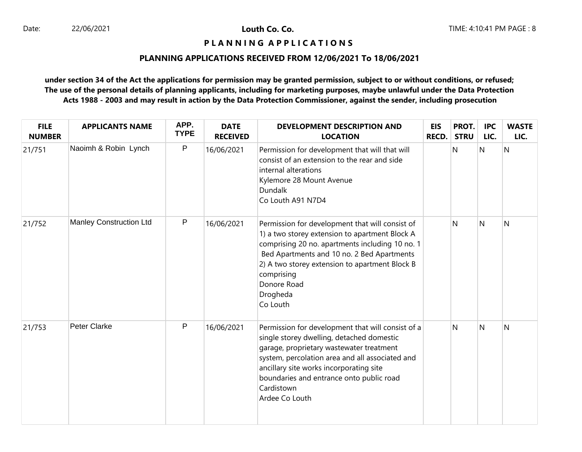## **PLANNING APPLICATIONS RECEIVED FROM 12/06/2021 To 18/06/2021**

| <b>FILE</b><br><b>NUMBER</b> | <b>APPLICANTS NAME</b>         | APP.<br><b>TYPE</b> | <b>DATE</b><br><b>RECEIVED</b> | <b>DEVELOPMENT DESCRIPTION AND</b><br><b>LOCATION</b>                                                                                                                                                                                                                                                                | EIS<br><b>RECD.</b> | PROT.<br><b>STRU</b> | <b>IPC</b><br>LIC. | <b>WASTE</b><br>LIC. |
|------------------------------|--------------------------------|---------------------|--------------------------------|----------------------------------------------------------------------------------------------------------------------------------------------------------------------------------------------------------------------------------------------------------------------------------------------------------------------|---------------------|----------------------|--------------------|----------------------|
| 21/751                       | Naoimh & Robin Lynch           | P                   | 16/06/2021                     | Permission for development that will that will<br>consist of an extension to the rear and side<br>internal alterations<br>Kylemore 28 Mount Avenue<br><b>Dundalk</b><br>Co Louth A91 N7D4                                                                                                                            |                     | N                    | N                  | N                    |
| 21/752                       | <b>Manley Construction Ltd</b> | P                   | 16/06/2021                     | Permission for development that will consist of<br>1) a two storey extension to apartment Block A<br>comprising 20 no. apartments including 10 no. 1<br>Bed Apartments and 10 no. 2 Bed Apartments<br>2) A two storey extension to apartment Block B<br>comprising<br>Donore Road<br>Drogheda<br>Co Louth            |                     | N                    | $\mathsf{N}$       | N                    |
| 21/753                       | Peter Clarke                   | P                   | 16/06/2021                     | Permission for development that will consist of a<br>single storey dwelling, detached domestic<br>garage, proprietary wastewater treatment<br>system, percolation area and all associated and<br>ancillary site works incorporating site<br>boundaries and entrance onto public road<br>Cardistown<br>Ardee Co Louth |                     | N                    | N                  | N                    |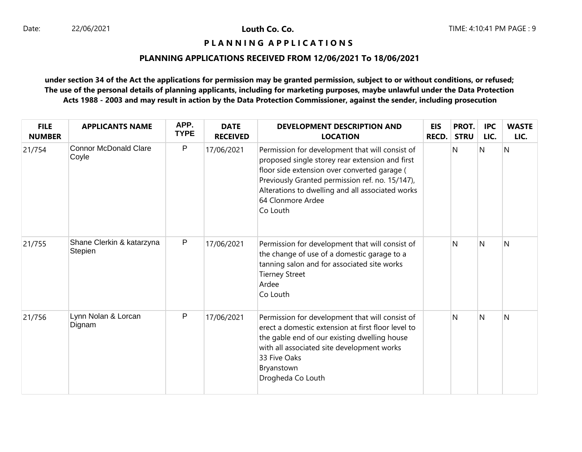## **PLANNING APPLICATIONS RECEIVED FROM 12/06/2021 To 18/06/2021**

| <b>FILE</b><br><b>NUMBER</b> | <b>APPLICANTS NAME</b>                | APP.<br><b>TYPE</b> | <b>DATE</b><br><b>RECEIVED</b> | <b>DEVELOPMENT DESCRIPTION AND</b><br><b>LOCATION</b>                                                                                                                                                                                                                                      | <b>EIS</b><br><b>RECD.</b> | PROT.<br><b>STRU</b> | <b>IPC</b><br>LIC.      | <b>WASTE</b><br>LIC. |
|------------------------------|---------------------------------------|---------------------|--------------------------------|--------------------------------------------------------------------------------------------------------------------------------------------------------------------------------------------------------------------------------------------------------------------------------------------|----------------------------|----------------------|-------------------------|----------------------|
| 21/754                       | <b>Connor McDonald Clare</b><br>Coyle | P                   | 17/06/2021                     | Permission for development that will consist of<br>proposed single storey rear extension and first<br>floor side extension over converted garage (<br>Previously Granted permission ref. no. 15/147),<br>Alterations to dwelling and all associated works<br>64 Clonmore Ardee<br>Co Louth |                            | N                    | N                       | $\overline{N}$       |
| 21/755                       | Shane Clerkin & katarzyna<br>Stepien  | P                   | 17/06/2021                     | Permission for development that will consist of<br>the change of use of a domestic garage to a<br>tanning salon and for associated site works<br><b>Tierney Street</b><br>Ardee<br>Co Louth                                                                                                |                            | N                    | $\overline{\mathsf{N}}$ | N                    |
| 21/756                       | Lynn Nolan & Lorcan<br>Dignam         | P                   | 17/06/2021                     | Permission for development that will consist of<br>erect a domestic extension at first floor level to<br>the gable end of our existing dwelling house<br>with all associated site development works<br>33 Five Oaks<br>Bryanstown<br>Drogheda Co Louth                                     |                            | N                    | <sup>N</sup>            | N                    |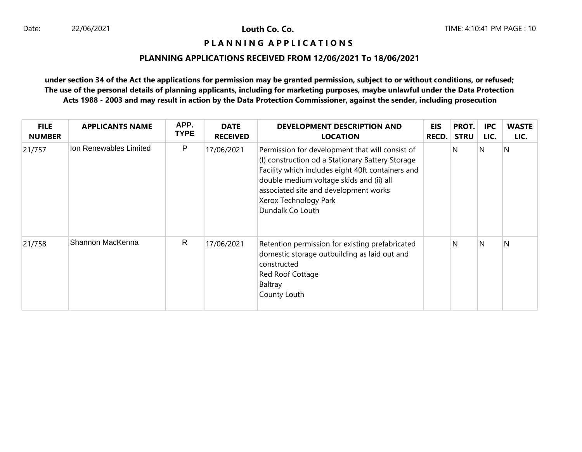## **PLANNING APPLICATIONS RECEIVED FROM 12/06/2021 To 18/06/2021**

| <b>FILE</b><br><b>NUMBER</b> | <b>APPLICANTS NAME</b> | APP.<br><b>TYPE</b> | <b>DATE</b><br><b>RECEIVED</b> | DEVELOPMENT DESCRIPTION AND<br><b>LOCATION</b>                                                                                                                                                                                                                                             | EIS<br><b>RECD.</b> | PROT.<br><b>STRU</b> | <b>IPC</b><br>LIC. | <b>WASTE</b><br>LIC. |
|------------------------------|------------------------|---------------------|--------------------------------|--------------------------------------------------------------------------------------------------------------------------------------------------------------------------------------------------------------------------------------------------------------------------------------------|---------------------|----------------------|--------------------|----------------------|
| 21/757                       | Ion Renewables Limited | P                   | 17/06/2021                     | Permission for development that will consist of<br>(I) construction od a Stationary Battery Storage<br>Facility which includes eight 40ft containers and<br>double medium voltage skids and (ii) all<br>associated site and development works<br>Xerox Technology Park<br>Dundalk Co Louth |                     | N                    | N                  | $\overline{N}$       |
| 21/758                       | Shannon MacKenna       | $\mathsf{R}$        | 17/06/2021                     | Retention permission for existing prefabricated<br>domestic storage outbuilding as laid out and<br>constructed<br>Red Roof Cottage<br>Baltray<br>County Louth                                                                                                                              |                     | N                    | IN.                | N                    |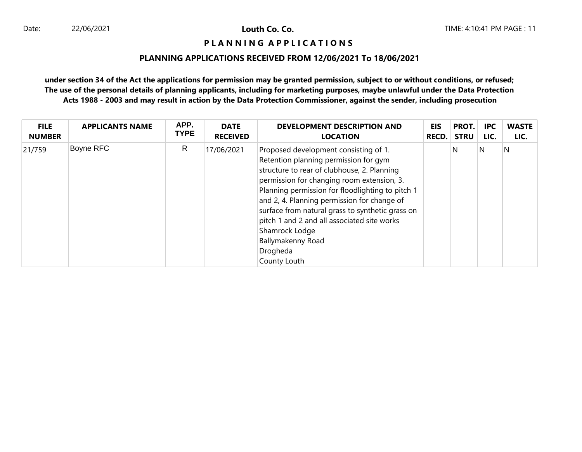## **P L A N N I N G A P P L I C A T I O N S**

## **PLANNING APPLICATIONS RECEIVED FROM 12/06/2021 To 18/06/2021**

| <b>FILE</b>   | <b>APPLICANTS NAME</b> | APP.        | <b>DATE</b>     | DEVELOPMENT DESCRIPTION AND                                                                                                                                                                                                                                                                                                                                                                                                                          | EIS   | PROT.       | <b>IPC</b> | <b>WASTE</b> |
|---------------|------------------------|-------------|-----------------|------------------------------------------------------------------------------------------------------------------------------------------------------------------------------------------------------------------------------------------------------------------------------------------------------------------------------------------------------------------------------------------------------------------------------------------------------|-------|-------------|------------|--------------|
| <b>NUMBER</b> |                        | <b>TYPE</b> | <b>RECEIVED</b> | <b>LOCATION</b>                                                                                                                                                                                                                                                                                                                                                                                                                                      | RECD. | <b>STRU</b> | LIC.       | LIC.         |
| 21/759        | Boyne RFC              | R           | 17/06/2021      | Proposed development consisting of 1.<br>Retention planning permission for gym<br>structure to rear of clubhouse, 2. Planning<br>permission for changing room extension, 3.<br>Planning permission for floodlighting to pitch 1<br>and 2, 4. Planning permission for change of<br>surface from natural grass to synthetic grass on<br>pitch 1 and 2 and all associated site works<br>Shamrock Lodge<br>Ballymakenny Road<br>Drogheda<br>County Louth |       | N           | N          | Ν            |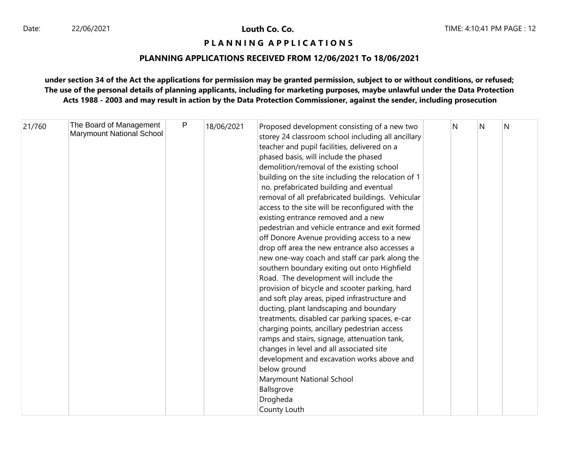# **P L A N N I N G A P P L I C A T I O N S**

## **PLANNING APPLICATIONS RECEIVED FROM 12/06/2021 To 18/06/2021**

| 21/760 | The Board of Management   | P | 18/06/2021 | Proposed development consisting of a new two       | N | N | N |
|--------|---------------------------|---|------------|----------------------------------------------------|---|---|---|
|        | Marymount National School |   |            | storey 24 classroom school including all ancillary |   |   |   |
|        |                           |   |            | teacher and pupil facilities, delivered on a       |   |   |   |
|        |                           |   |            | phased basis, will include the phased              |   |   |   |
|        |                           |   |            | demolition/removal of the existing school          |   |   |   |
|        |                           |   |            | building on the site including the relocation of 1 |   |   |   |
|        |                           |   |            | no. prefabricated building and eventual            |   |   |   |
|        |                           |   |            | removal of all prefabricated buildings. Vehicular  |   |   |   |
|        |                           |   |            | access to the site will be reconfigured with the   |   |   |   |
|        |                           |   |            | existing entrance removed and a new                |   |   |   |
|        |                           |   |            | pedestrian and vehicle entrance and exit formed    |   |   |   |
|        |                           |   |            | off Donore Avenue providing access to a new        |   |   |   |
|        |                           |   |            | drop off area the new entrance also accesses a     |   |   |   |
|        |                           |   |            | new one-way coach and staff car park along the     |   |   |   |
|        |                           |   |            | southern boundary exiting out onto Highfield       |   |   |   |
|        |                           |   |            | Road. The development will include the             |   |   |   |
|        |                           |   |            | provision of bicycle and scooter parking, hard     |   |   |   |
|        |                           |   |            | and soft play areas, piped infrastructure and      |   |   |   |
|        |                           |   |            | ducting, plant landscaping and boundary            |   |   |   |
|        |                           |   |            | treatments, disabled car parking spaces, e-car     |   |   |   |
|        |                           |   |            | charging points, ancillary pedestrian access       |   |   |   |
|        |                           |   |            | ramps and stairs, signage, attenuation tank,       |   |   |   |
|        |                           |   |            | changes in level and all associated site           |   |   |   |
|        |                           |   |            | development and excavation works above and         |   |   |   |
|        |                           |   |            | below ground                                       |   |   |   |
|        |                           |   |            | Marymount National School                          |   |   |   |
|        |                           |   |            | Ballsgrove                                         |   |   |   |
|        |                           |   |            | Drogheda                                           |   |   |   |
|        |                           |   |            | County Louth                                       |   |   |   |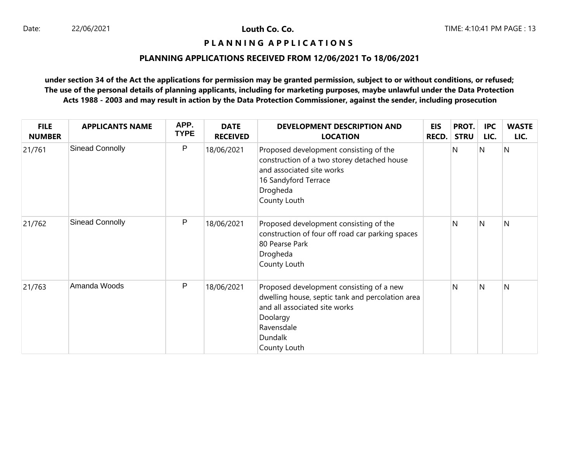## **PLANNING APPLICATIONS RECEIVED FROM 12/06/2021 To 18/06/2021**

| <b>FILE</b><br><b>NUMBER</b> | <b>APPLICANTS NAME</b> | APP.<br><b>TYPE</b> | <b>DATE</b><br><b>RECEIVED</b> | DEVELOPMENT DESCRIPTION AND<br><b>LOCATION</b>                                                                                                                                     | <b>EIS</b><br>RECD. | PROT.<br><b>STRU</b> | <b>IPC</b><br>LIC. | <b>WASTE</b><br>LIC. |
|------------------------------|------------------------|---------------------|--------------------------------|------------------------------------------------------------------------------------------------------------------------------------------------------------------------------------|---------------------|----------------------|--------------------|----------------------|
| 21/761                       | Sinead Connolly        | P                   | 18/06/2021                     | Proposed development consisting of the<br>construction of a two storey detached house<br>and associated site works<br>16 Sandyford Terrace<br>Drogheda<br>County Louth             |                     | N                    | N                  | $\overline{N}$       |
| 21/762                       | Sinead Connolly        | P                   | 18/06/2021                     | Proposed development consisting of the<br>construction of four off road car parking spaces<br>80 Pearse Park<br>Drogheda<br>County Louth                                           |                     | N                    | $\mathsf{N}$       | N                    |
| 21/763                       | Amanda Woods           | P                   | 18/06/2021                     | Proposed development consisting of a new<br>dwelling house, septic tank and percolation area<br>and all associated site works<br>Doolargy<br>Ravensdale<br>Dundalk<br>County Louth |                     | N                    | N                  | N                    |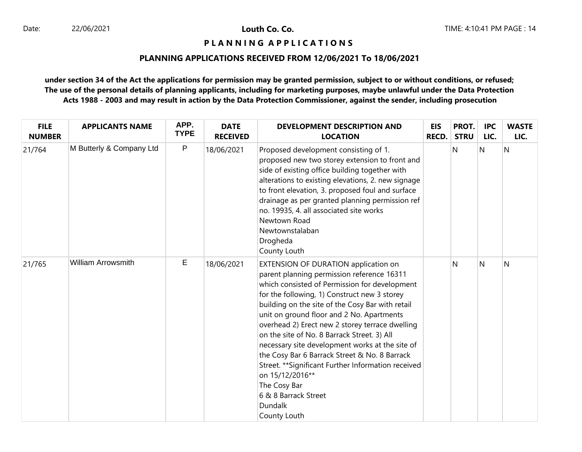**P L A N N I N G A P P L I C A T I O N S** 

## **PLANNING APPLICATIONS RECEIVED FROM 12/06/2021 To 18/06/2021**

| <b>FILE</b><br><b>NUMBER</b> | <b>APPLICANTS NAME</b>    | APP.<br><b>TYPE</b> | <b>DATE</b><br><b>RECEIVED</b> | <b>DEVELOPMENT DESCRIPTION AND</b><br><b>LOCATION</b>                                                                                                                                                                                                                                                                                                                                                                                                                                                                                                                                                                                          | <b>EIS</b><br><b>RECD.</b> | PROT.<br><b>STRU</b> | <b>IPC</b><br>LIC. | <b>WASTE</b><br>LIC. |
|------------------------------|---------------------------|---------------------|--------------------------------|------------------------------------------------------------------------------------------------------------------------------------------------------------------------------------------------------------------------------------------------------------------------------------------------------------------------------------------------------------------------------------------------------------------------------------------------------------------------------------------------------------------------------------------------------------------------------------------------------------------------------------------------|----------------------------|----------------------|--------------------|----------------------|
| 21/764                       | M Butterly & Company Ltd  | P                   | 18/06/2021                     | Proposed development consisting of 1.<br>proposed new two storey extension to front and<br>side of existing office building together with<br>alterations to existing elevations, 2. new signage<br>to front elevation, 3. proposed foul and surface<br>drainage as per granted planning permission ref<br>no. 19935, 4. all associated site works<br>Newtown Road<br>Newtownstalaban<br>Drogheda<br>County Louth                                                                                                                                                                                                                               |                            | N                    | N                  | N                    |
| 21/765                       | <b>William Arrowsmith</b> | Е                   | 18/06/2021                     | EXTENSION OF DURATION application on<br>parent planning permission reference 16311<br>which consisted of Permission for development<br>for the following, 1) Construct new 3 storey<br>building on the site of the Cosy Bar with retail<br>unit on ground floor and 2 No. Apartments<br>overhead 2) Erect new 2 storey terrace dwelling<br>on the site of No. 8 Barrack Street. 3) All<br>necessary site development works at the site of<br>the Cosy Bar 6 Barrack Street & No. 8 Barrack<br>Street. ** Significant Further Information received<br>on 15/12/2016**<br>The Cosy Bar<br>6 & 8 Barrack Street<br><b>Dundalk</b><br>County Louth |                            | N                    | $\mathsf{N}$       | N                    |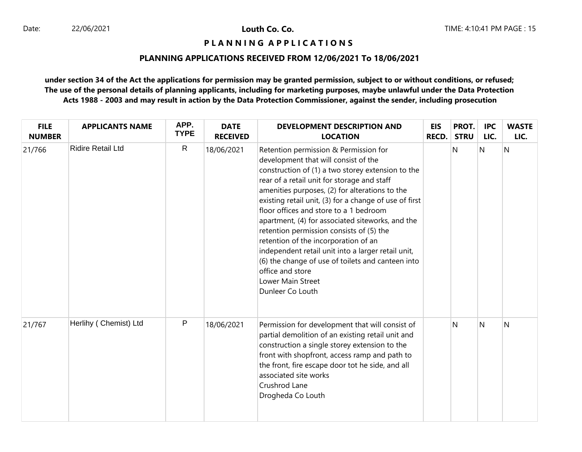## **P L A N N I N G A P P L I C A T I O N S**

## **PLANNING APPLICATIONS RECEIVED FROM 12/06/2021 To 18/06/2021**

| <b>FILE</b><br><b>NUMBER</b> | <b>APPLICANTS NAME</b>   | APP.<br><b>TYPE</b> | <b>DATE</b><br><b>RECEIVED</b> | <b>DEVELOPMENT DESCRIPTION AND</b><br><b>LOCATION</b>                                                                                                                                                                                                                                                                                                                                                                                                                                                                                                                                                                                                   | <b>EIS</b><br><b>RECD.</b> | PROT.<br><b>STRU</b> | <b>IPC</b><br>LIC. | <b>WASTE</b><br>LIC. |
|------------------------------|--------------------------|---------------------|--------------------------------|---------------------------------------------------------------------------------------------------------------------------------------------------------------------------------------------------------------------------------------------------------------------------------------------------------------------------------------------------------------------------------------------------------------------------------------------------------------------------------------------------------------------------------------------------------------------------------------------------------------------------------------------------------|----------------------------|----------------------|--------------------|----------------------|
| 21/766                       | <b>Ridire Retail Ltd</b> | $\mathsf{R}$        | 18/06/2021                     | Retention permission & Permission for<br>development that will consist of the<br>construction of (1) a two storey extension to the<br>rear of a retail unit for storage and staff<br>amenities purposes, (2) for alterations to the<br>existing retail unit, (3) for a change of use of first<br>floor offices and store to a 1 bedroom<br>apartment, (4) for associated siteworks, and the<br>retention permission consists of (5) the<br>retention of the incorporation of an<br>independent retail unit into a larger retail unit,<br>(6) the change of use of toilets and canteen into<br>office and store<br>Lower Main Street<br>Dunleer Co Louth |                            | N                    | N                  | $\overline{N}$       |
| 21/767                       | Herlihy (Chemist) Ltd    | P                   | 18/06/2021                     | Permission for development that will consist of<br>partial demolition of an existing retail unit and<br>construction a single storey extension to the<br>front with shopfront, access ramp and path to<br>the front, fire escape door tot he side, and all<br>associated site works<br>Crushrod Lane<br>Drogheda Co Louth                                                                                                                                                                                                                                                                                                                               |                            | N                    | <sup>N</sup>       | N                    |